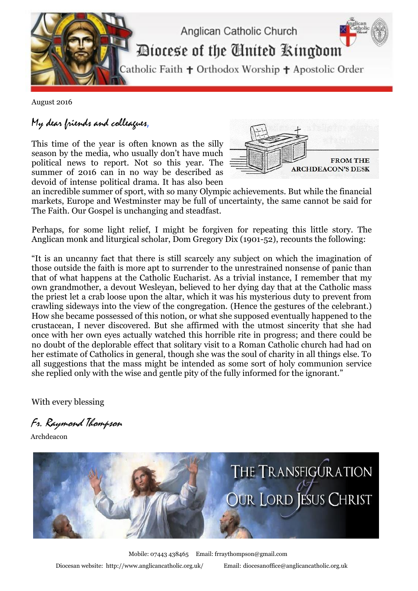

August 2016

## My dear friends and colleagues,

This time of the year is often known as the silly season by the media, who usually don't have much political news to report. Not so this year. The summer of 2016 can in no way be described as devoid of intense political drama. It has also been



an incredible summer of sport, with so many Olympic achievements. But while the financial markets, Europe and Westminster may be full of uncertainty, the same cannot be said for The Faith. Our Gospel is unchanging and steadfast.

Perhaps, for some light relief, I might be forgiven for repeating this little story. The Anglican monk and liturgical scholar, Dom Gregory Dix (1901-52), recounts the following:

"It is an uncanny fact that there is still scarcely any subject on which the imagination of those outside the faith is more apt to surrender to the unrestrained nonsense of panic than that of what happens at the Catholic Eucharist. As a trivial instance, I remember that my own grandmother, a devout Wesleyan, believed to her dying day that at the Catholic mass the priest let a crab loose upon the altar, which it was his mysterious duty to prevent from crawling sideways into the view of the congregation. (Hence the gestures of the celebrant.) How she became possessed of this notion, or what she supposed eventually happened to the crustacean, I never discovered. But she affirmed with the utmost sincerity that she had once with her own eyes actually watched this horrible rite in progress; and there could be no doubt of the deplorable effect that solitary visit to a Roman Catholic church had had on her estimate of Catholics in general, though she was the soul of charity in all things else. To all suggestions that the mass might be intended as some sort of holy communion service she replied only with the wise and gentle pity of the fully informed for the ignorant."

With every blessing

Fr. Raymond Thompson

Archdeacon